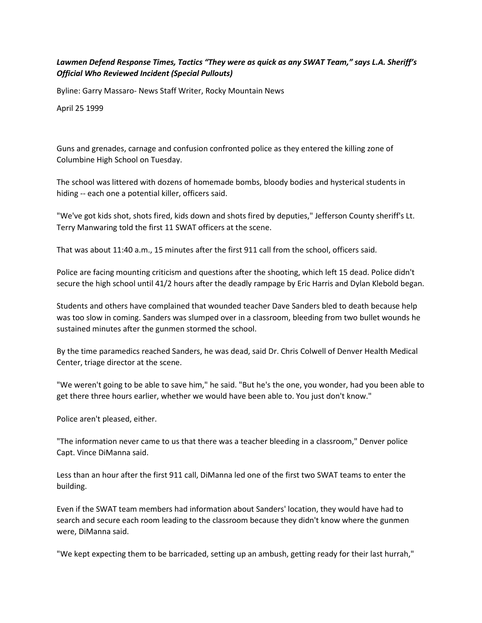## *Lawmen Defend Response Times, Tactics "They were as quick as any SWAT Team," says L.A. Sheriff's Official Who Reviewed Incident (Special Pullouts)*

Byline: Garry Massaro- News Staff Writer, Rocky Mountain News

April 25 1999

Guns and grenades, carnage and confusion confronted police as they entered the killing zone of Columbine High School on Tuesday.

The school was littered with dozens of homemade bombs, bloody bodies and hysterical students in hiding -- each one a potential killer, officers said.

"We've got kids shot, shots fired, kids down and shots fired by deputies," Jefferson County sheriff's Lt. Terry Manwaring told the first 11 SWAT officers at the scene.

That was about 11:40 a.m., 15 minutes after the first 911 call from the school, officers said.

Police are facing mounting criticism and questions after the shooting, which left 15 dead. Police didn't secure the high school until 41/2 hours after the deadly rampage by Eric Harris and Dylan Klebold began.

Students and others have complained that wounded teacher Dave Sanders bled to death because help was too slow in coming. Sanders was slumped over in a classroom, bleeding from two bullet wounds he sustained minutes after the gunmen stormed the school.

By the time paramedics reached Sanders, he was dead, said Dr. Chris Colwell of Denver Health Medical Center, triage director at the scene.

"We weren't going to be able to save him," he said. "But he's the one, you wonder, had you been able to get there three hours earlier, whether we would have been able to. You just don't know."

Police aren't pleased, either.

"The information never came to us that there was a teacher bleeding in a classroom," Denver police Capt. Vince DiManna said.

Less than an hour after the first 911 call, DiManna led one of the first two SWAT teams to enter the building.

Even if the SWAT team members had information about Sanders' location, they would have had to search and secure each room leading to the classroom because they didn't know where the gunmen were, DiManna said.

"We kept expecting them to be barricaded, setting up an ambush, getting ready for their last hurrah,"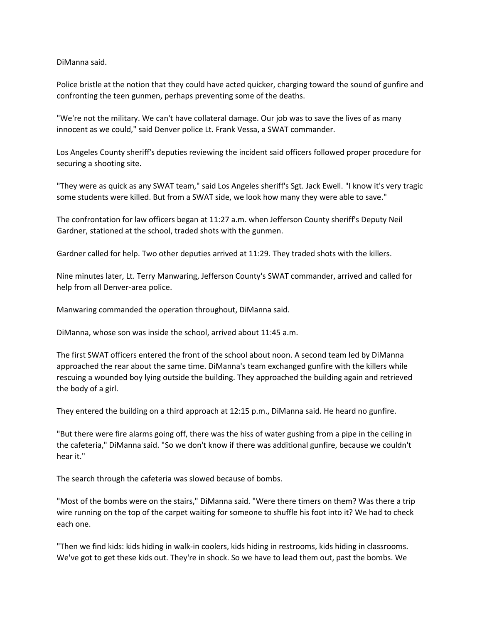DiManna said.

Police bristle at the notion that they could have acted quicker, charging toward the sound of gunfire and confronting the teen gunmen, perhaps preventing some of the deaths.

"We're not the military. We can't have collateral damage. Our job was to save the lives of as many innocent as we could," said Denver police Lt. Frank Vessa, a SWAT commander.

Los Angeles County sheriff's deputies reviewing the incident said officers followed proper procedure for securing a shooting site.

"They were as quick as any SWAT team," said Los Angeles sheriff's Sgt. Jack Ewell. "I know it's very tragic some students were killed. But from a SWAT side, we look how many they were able to save."

The confrontation for law officers began at 11:27 a.m. when Jefferson County sheriff's Deputy Neil Gardner, stationed at the school, traded shots with the gunmen.

Gardner called for help. Two other deputies arrived at 11:29. They traded shots with the killers.

Nine minutes later, Lt. Terry Manwaring, Jefferson County's SWAT commander, arrived and called for help from all Denver-area police.

Manwaring commanded the operation throughout, DiManna said.

DiManna, whose son was inside the school, arrived about 11:45 a.m.

The first SWAT officers entered the front of the school about noon. A second team led by DiManna approached the rear about the same time. DiManna's team exchanged gunfire with the killers while rescuing a wounded boy lying outside the building. They approached the building again and retrieved the body of a girl.

They entered the building on a third approach at 12:15 p.m., DiManna said. He heard no gunfire.

"But there were fire alarms going off, there was the hiss of water gushing from a pipe in the ceiling in the cafeteria," DiManna said. "So we don't know if there was additional gunfire, because we couldn't hear it."

The search through the cafeteria was slowed because of bombs.

"Most of the bombs were on the stairs," DiManna said. "Were there timers on them? Was there a trip wire running on the top of the carpet waiting for someone to shuffle his foot into it? We had to check each one.

"Then we find kids: kids hiding in walk-in coolers, kids hiding in restrooms, kids hiding in classrooms. We've got to get these kids out. They're in shock. So we have to lead them out, past the bombs. We